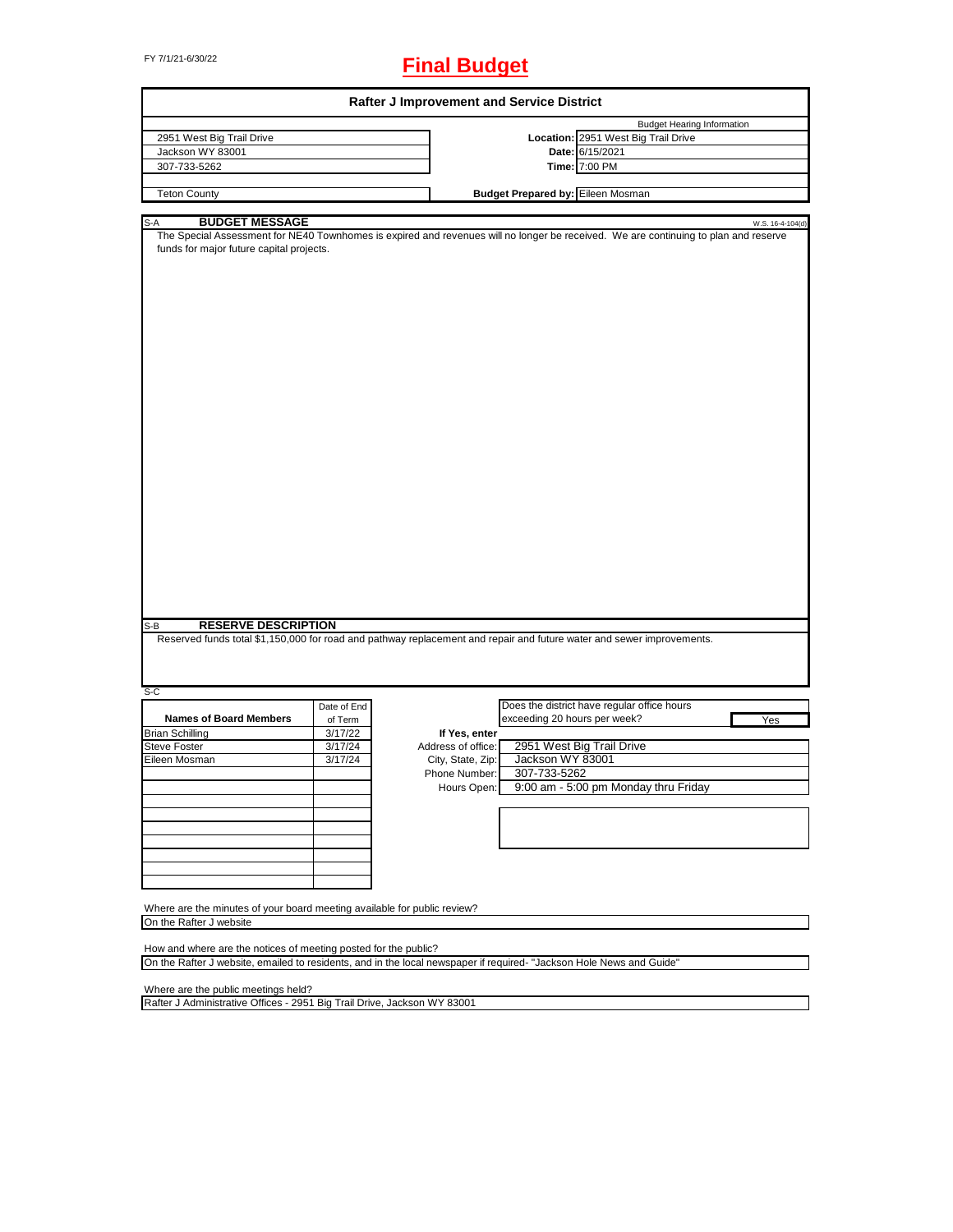# FY 7/1/21-6/30/22 **Final Budget**

| Rafter J Improvement and Service District                                                                                                                                                                       |             |                    |                                          |                                             |                  |  |  |
|-----------------------------------------------------------------------------------------------------------------------------------------------------------------------------------------------------------------|-------------|--------------------|------------------------------------------|---------------------------------------------|------------------|--|--|
|                                                                                                                                                                                                                 |             |                    |                                          | <b>Budget Hearing Information</b>           |                  |  |  |
| 2951 West Big Trail Drive                                                                                                                                                                                       |             |                    |                                          | Location: 2951 West Big Trail Drive         |                  |  |  |
| Jackson WY 83001                                                                                                                                                                                                |             |                    |                                          | Date: 6/15/2021                             |                  |  |  |
| 307-733-5262                                                                                                                                                                                                    |             |                    |                                          | Time: 7:00 PM                               |                  |  |  |
|                                                                                                                                                                                                                 |             |                    |                                          |                                             |                  |  |  |
| <b>Teton County</b>                                                                                                                                                                                             |             |                    | <b>Budget Prepared by: Eileen Mosman</b> |                                             |                  |  |  |
|                                                                                                                                                                                                                 |             |                    |                                          |                                             |                  |  |  |
| <b>BUDGET MESSAGE</b><br>S-A<br>The Special Assessment for NE40 Townhomes is expired and revenues will no longer be received. We are continuing to plan and reserve<br>funds for major future capital projects. |             |                    |                                          |                                             | W.S. 16-4-104(d) |  |  |
| <b>RESERVE DESCRIPTION</b><br>S-B<br>Reserved funds total \$1,150,000 for road and pathway replacement and repair and future water and sewer improvements.                                                      |             |                    |                                          |                                             |                  |  |  |
|                                                                                                                                                                                                                 |             |                    |                                          |                                             |                  |  |  |
| S-C                                                                                                                                                                                                             |             |                    |                                          |                                             |                  |  |  |
|                                                                                                                                                                                                                 | Date of End |                    |                                          | Does the district have regular office hours |                  |  |  |
| <b>Names of Board Members</b>                                                                                                                                                                                   | of Term     |                    | exceeding 20 hours per week?             |                                             | Yes              |  |  |
| <b>Brian Schilling</b>                                                                                                                                                                                          | 3/17/22     | If Yes, enter      |                                          |                                             |                  |  |  |
| <b>Steve Foster</b>                                                                                                                                                                                             | 3/17/24     | Address of office: |                                          | 2951 West Big Trail Drive                   |                  |  |  |
| Eileen Mosman                                                                                                                                                                                                   | 3/17/24     | City, State, Zip:  | Jackson WY 83001                         |                                             |                  |  |  |
|                                                                                                                                                                                                                 |             | Phone Number:      | 307-733-5262                             |                                             |                  |  |  |
|                                                                                                                                                                                                                 |             | Hours Open:        |                                          | 9:00 am - 5:00 pm Monday thru Friday        |                  |  |  |
|                                                                                                                                                                                                                 |             |                    |                                          |                                             |                  |  |  |
|                                                                                                                                                                                                                 |             |                    |                                          |                                             |                  |  |  |
|                                                                                                                                                                                                                 |             |                    |                                          |                                             |                  |  |  |
|                                                                                                                                                                                                                 |             |                    |                                          |                                             |                  |  |  |
|                                                                                                                                                                                                                 |             |                    |                                          |                                             |                  |  |  |
|                                                                                                                                                                                                                 |             |                    |                                          |                                             |                  |  |  |
|                                                                                                                                                                                                                 |             |                    |                                          |                                             |                  |  |  |
|                                                                                                                                                                                                                 |             |                    |                                          |                                             |                  |  |  |
| Where are the minutes of your board meeting available for public review?                                                                                                                                        |             |                    |                                          |                                             |                  |  |  |
| On the Rafter J website                                                                                                                                                                                         |             |                    |                                          |                                             |                  |  |  |
|                                                                                                                                                                                                                 |             |                    |                                          |                                             |                  |  |  |
| How and where are the notices of meeting posted for the public?                                                                                                                                                 |             |                    |                                          |                                             |                  |  |  |
| On the Rafter J website, emailed to residents, and in the local newspaper if required- "Jackson Hole News and Guide"                                                                                            |             |                    |                                          |                                             |                  |  |  |

Where are the public meetings held?

Rafter J Administrative Offices - 2951 Big Trail Drive, Jackson WY 83001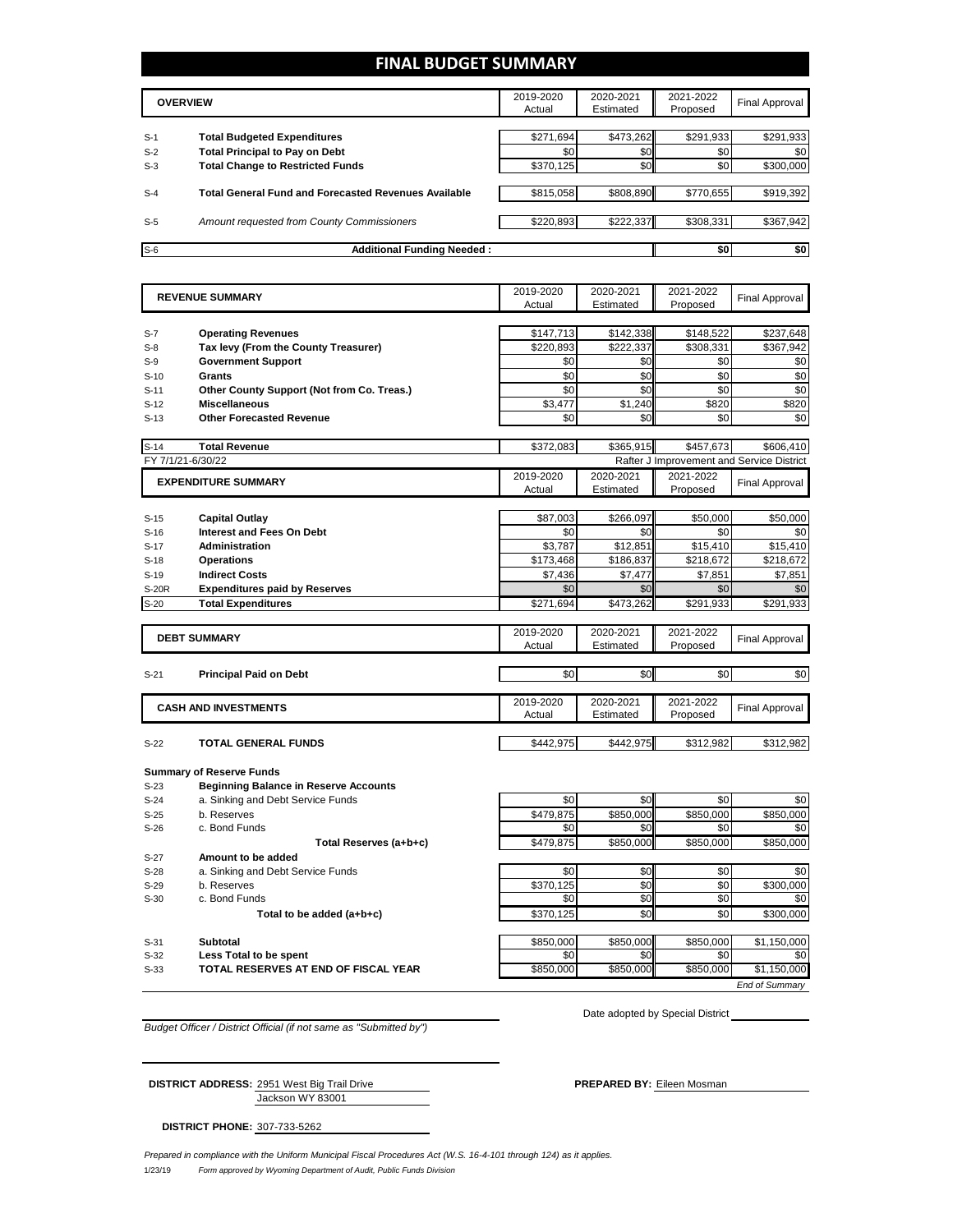### **FINAL BUDGET SUMMARY**

|       | <b>OVERVIEW</b>                                      | 2019-2020<br>Actual | 2020-2021<br>Estimated | 2021-2022<br>Proposed | <b>Final Approval</b> |
|-------|------------------------------------------------------|---------------------|------------------------|-----------------------|-----------------------|
|       |                                                      |                     |                        |                       |                       |
| $S-1$ | <b>Total Budgeted Expenditures</b>                   | \$271,694           | \$473,262              | \$291,933             | \$291,933             |
| $S-2$ | <b>Total Principal to Pay on Debt</b>                | \$0                 | \$0 <sub>1</sub>       | \$0                   | \$0                   |
| $S-3$ | <b>Total Change to Restricted Funds</b>              | \$370,125           | \$0                    | \$0                   | \$300,000             |
|       |                                                      |                     |                        |                       |                       |
| $S-4$ | Total General Fund and Forecasted Revenues Available | \$815,058           | \$808,890              | \$770.655             | \$919,392             |
|       |                                                      |                     |                        |                       |                       |
| $S-5$ | Amount requested from County Commissioners           | \$220,893           | \$222,337              | \$308,331             | \$367,942             |
|       |                                                      |                     |                        |                       |                       |
| $S-6$ | <b>Additional Funding Needed:</b>                    |                     |                        | \$0                   | \$0                   |

| Actual<br>Estimated<br>Proposed<br><b>Operating Revenues</b><br>\$147,713<br>\$142,338<br>\$148,522<br>\$237,648<br>Tax levy (From the County Treasurer)<br>\$220,893<br>\$222,337<br>\$308,331<br>\$367,942<br><b>Government Support</b><br>\$0<br>\$0<br>\$0<br>\$0<br>\$0<br>\$0<br>\$0<br>\$0<br>Grants<br>\$0<br>\$0<br>\$0<br>\$0<br>Other County Support (Not from Co. Treas.)<br>\$3,477<br>\$1,240<br>\$820<br>\$820<br><b>Miscellaneous</b><br>\$0<br>\$0<br>\$0<br>\$0<br><b>Other Forecasted Revenue</b><br><b>Total Revenue</b><br>\$372,083<br>\$365,915<br>\$457.673<br>\$606.410<br>Rafter J Improvement and Service District<br>2020-2021<br>2019-2020<br>2021-2022<br><b>EXPENDITURE SUMMARY</b><br>Final Approval<br>Actual<br>Estimated<br>Proposed<br>\$87,003<br>\$266,097<br>\$50,000<br>\$50,000<br><b>Capital Outlay</b><br>\$0<br>\$0<br><b>Interest and Fees On Debt</b><br>\$0<br>\$0<br>\$12,851<br>\$15,410<br><b>Administration</b><br>\$3,787<br>\$15,410<br>\$173.468<br>\$186,837<br>\$218,672<br>\$218,672<br><b>Operations</b><br><b>Indirect Costs</b><br>\$7,436<br>\$7,477<br>\$7,851<br>\$7,851<br>\$0<br><b>Expenditures paid by Reserves</b><br>\$0<br>\$0<br>\$0<br><b>Total Expenditures</b><br>\$271,694<br>\$473,262<br>\$291,933<br>\$291,933<br>2019-2020<br>2020-2021<br>2021-2022<br><b>DEBT SUMMARY</b><br><b>Final Approval</b><br>Actual<br>Estimated<br>Proposed<br>\$0<br>\$0<br>\$0<br>\$0<br><b>Principal Paid on Debt</b><br>2019-2020<br>2020-2021<br>2021-2022<br><b>CASH AND INVESTMENTS</b><br><b>Final Approval</b><br>Actual<br>Estimated<br>Proposed<br>\$442,975<br><b>TOTAL GENERAL FUNDS</b><br>\$442,975<br>\$312,982<br>\$312,982<br><b>Beginning Balance in Reserve Accounts</b><br>a. Sinking and Debt Service Funds<br>\$0<br>\$0<br>\$0<br>\$0<br>\$479,875<br>\$850,000<br>\$850,000<br>\$850.000<br>b. Reserves<br>c. Bond Funds<br>\$0<br>\$0<br>\$0<br>\$0<br>\$850,000<br>\$850,000<br>\$850,000<br>Total Reserves (a+b+c)<br>\$479,875<br>Amount to be added<br>\$0<br>\$0<br>\$0<br>a. Sinking and Debt Service Funds<br>\$0<br>\$0<br>\$0<br>\$300,000<br>b. Reserves<br>\$370,125<br>\$0<br>\$0<br>\$0<br>\$0<br>c. Bond Funds<br>\$0<br>\$370,125<br>\$0<br>\$300,000<br>Total to be added (a+b+c) | $S-7$<br>$S-8$<br>$S-9$<br>$S-10$<br>$S-11$<br>$S-12$<br>$S-13$<br>$S-14$<br>FY 7/1/21-6/30/22<br>$S-15$<br>$S-16$<br>$S-17$<br>$S-18$<br>$S-19$<br>S-20R<br>$S-20$<br>$S-21$<br>$S-22$<br><b>Summary of Reserve Funds</b><br>$S-23$<br>$S-24$<br>$S-25$<br>$S-26$<br>$S-27$<br>$S-28$<br>$S-29$<br>$S-30$<br>\$850,000<br>\$850,000<br>\$850,000<br>Subtotal<br>$S-31$<br>Less Total to be spent<br>\$0<br>\$0<br>\$0<br>$S-32$<br>\$850,000<br>TOTAL RESERVES AT END OF FISCAL YEAR<br>\$850,000<br>\$850,000<br>$S-33$ | <b>REVENUE SUMMARY</b> | 2019-2020 | 2020-2021 | 2021-2022 | <b>Final Approval</b> |
|----------------------------------------------------------------------------------------------------------------------------------------------------------------------------------------------------------------------------------------------------------------------------------------------------------------------------------------------------------------------------------------------------------------------------------------------------------------------------------------------------------------------------------------------------------------------------------------------------------------------------------------------------------------------------------------------------------------------------------------------------------------------------------------------------------------------------------------------------------------------------------------------------------------------------------------------------------------------------------------------------------------------------------------------------------------------------------------------------------------------------------------------------------------------------------------------------------------------------------------------------------------------------------------------------------------------------------------------------------------------------------------------------------------------------------------------------------------------------------------------------------------------------------------------------------------------------------------------------------------------------------------------------------------------------------------------------------------------------------------------------------------------------------------------------------------------------------------------------------------------------------------------------------------------------------------------------------------------------------------------------------------------------------------------------------------------------------------------------------------------------------------------------------------------------------------------------------------------------------------------------------------------------------------|---------------------------------------------------------------------------------------------------------------------------------------------------------------------------------------------------------------------------------------------------------------------------------------------------------------------------------------------------------------------------------------------------------------------------------------------------------------------------------------------------------------------------|------------------------|-----------|-----------|-----------|-----------------------|
|                                                                                                                                                                                                                                                                                                                                                                                                                                                                                                                                                                                                                                                                                                                                                                                                                                                                                                                                                                                                                                                                                                                                                                                                                                                                                                                                                                                                                                                                                                                                                                                                                                                                                                                                                                                                                                                                                                                                                                                                                                                                                                                                                                                                                                                                                        |                                                                                                                                                                                                                                                                                                                                                                                                                                                                                                                           |                        |           |           |           |                       |
|                                                                                                                                                                                                                                                                                                                                                                                                                                                                                                                                                                                                                                                                                                                                                                                                                                                                                                                                                                                                                                                                                                                                                                                                                                                                                                                                                                                                                                                                                                                                                                                                                                                                                                                                                                                                                                                                                                                                                                                                                                                                                                                                                                                                                                                                                        |                                                                                                                                                                                                                                                                                                                                                                                                                                                                                                                           |                        |           |           |           |                       |
|                                                                                                                                                                                                                                                                                                                                                                                                                                                                                                                                                                                                                                                                                                                                                                                                                                                                                                                                                                                                                                                                                                                                                                                                                                                                                                                                                                                                                                                                                                                                                                                                                                                                                                                                                                                                                                                                                                                                                                                                                                                                                                                                                                                                                                                                                        |                                                                                                                                                                                                                                                                                                                                                                                                                                                                                                                           |                        |           |           |           |                       |
|                                                                                                                                                                                                                                                                                                                                                                                                                                                                                                                                                                                                                                                                                                                                                                                                                                                                                                                                                                                                                                                                                                                                                                                                                                                                                                                                                                                                                                                                                                                                                                                                                                                                                                                                                                                                                                                                                                                                                                                                                                                                                                                                                                                                                                                                                        |                                                                                                                                                                                                                                                                                                                                                                                                                                                                                                                           |                        |           |           |           |                       |
|                                                                                                                                                                                                                                                                                                                                                                                                                                                                                                                                                                                                                                                                                                                                                                                                                                                                                                                                                                                                                                                                                                                                                                                                                                                                                                                                                                                                                                                                                                                                                                                                                                                                                                                                                                                                                                                                                                                                                                                                                                                                                                                                                                                                                                                                                        |                                                                                                                                                                                                                                                                                                                                                                                                                                                                                                                           |                        |           |           |           |                       |
|                                                                                                                                                                                                                                                                                                                                                                                                                                                                                                                                                                                                                                                                                                                                                                                                                                                                                                                                                                                                                                                                                                                                                                                                                                                                                                                                                                                                                                                                                                                                                                                                                                                                                                                                                                                                                                                                                                                                                                                                                                                                                                                                                                                                                                                                                        |                                                                                                                                                                                                                                                                                                                                                                                                                                                                                                                           |                        |           |           |           |                       |
|                                                                                                                                                                                                                                                                                                                                                                                                                                                                                                                                                                                                                                                                                                                                                                                                                                                                                                                                                                                                                                                                                                                                                                                                                                                                                                                                                                                                                                                                                                                                                                                                                                                                                                                                                                                                                                                                                                                                                                                                                                                                                                                                                                                                                                                                                        |                                                                                                                                                                                                                                                                                                                                                                                                                                                                                                                           |                        |           |           |           |                       |
|                                                                                                                                                                                                                                                                                                                                                                                                                                                                                                                                                                                                                                                                                                                                                                                                                                                                                                                                                                                                                                                                                                                                                                                                                                                                                                                                                                                                                                                                                                                                                                                                                                                                                                                                                                                                                                                                                                                                                                                                                                                                                                                                                                                                                                                                                        |                                                                                                                                                                                                                                                                                                                                                                                                                                                                                                                           |                        |           |           |           |                       |
|                                                                                                                                                                                                                                                                                                                                                                                                                                                                                                                                                                                                                                                                                                                                                                                                                                                                                                                                                                                                                                                                                                                                                                                                                                                                                                                                                                                                                                                                                                                                                                                                                                                                                                                                                                                                                                                                                                                                                                                                                                                                                                                                                                                                                                                                                        |                                                                                                                                                                                                                                                                                                                                                                                                                                                                                                                           |                        |           |           |           |                       |
|                                                                                                                                                                                                                                                                                                                                                                                                                                                                                                                                                                                                                                                                                                                                                                                                                                                                                                                                                                                                                                                                                                                                                                                                                                                                                                                                                                                                                                                                                                                                                                                                                                                                                                                                                                                                                                                                                                                                                                                                                                                                                                                                                                                                                                                                                        |                                                                                                                                                                                                                                                                                                                                                                                                                                                                                                                           |                        |           |           |           |                       |
|                                                                                                                                                                                                                                                                                                                                                                                                                                                                                                                                                                                                                                                                                                                                                                                                                                                                                                                                                                                                                                                                                                                                                                                                                                                                                                                                                                                                                                                                                                                                                                                                                                                                                                                                                                                                                                                                                                                                                                                                                                                                                                                                                                                                                                                                                        |                                                                                                                                                                                                                                                                                                                                                                                                                                                                                                                           |                        |           |           |           |                       |
|                                                                                                                                                                                                                                                                                                                                                                                                                                                                                                                                                                                                                                                                                                                                                                                                                                                                                                                                                                                                                                                                                                                                                                                                                                                                                                                                                                                                                                                                                                                                                                                                                                                                                                                                                                                                                                                                                                                                                                                                                                                                                                                                                                                                                                                                                        |                                                                                                                                                                                                                                                                                                                                                                                                                                                                                                                           |                        |           |           |           |                       |
|                                                                                                                                                                                                                                                                                                                                                                                                                                                                                                                                                                                                                                                                                                                                                                                                                                                                                                                                                                                                                                                                                                                                                                                                                                                                                                                                                                                                                                                                                                                                                                                                                                                                                                                                                                                                                                                                                                                                                                                                                                                                                                                                                                                                                                                                                        |                                                                                                                                                                                                                                                                                                                                                                                                                                                                                                                           |                        |           |           |           |                       |
|                                                                                                                                                                                                                                                                                                                                                                                                                                                                                                                                                                                                                                                                                                                                                                                                                                                                                                                                                                                                                                                                                                                                                                                                                                                                                                                                                                                                                                                                                                                                                                                                                                                                                                                                                                                                                                                                                                                                                                                                                                                                                                                                                                                                                                                                                        |                                                                                                                                                                                                                                                                                                                                                                                                                                                                                                                           |                        |           |           |           |                       |
|                                                                                                                                                                                                                                                                                                                                                                                                                                                                                                                                                                                                                                                                                                                                                                                                                                                                                                                                                                                                                                                                                                                                                                                                                                                                                                                                                                                                                                                                                                                                                                                                                                                                                                                                                                                                                                                                                                                                                                                                                                                                                                                                                                                                                                                                                        |                                                                                                                                                                                                                                                                                                                                                                                                                                                                                                                           |                        |           |           |           |                       |
|                                                                                                                                                                                                                                                                                                                                                                                                                                                                                                                                                                                                                                                                                                                                                                                                                                                                                                                                                                                                                                                                                                                                                                                                                                                                                                                                                                                                                                                                                                                                                                                                                                                                                                                                                                                                                                                                                                                                                                                                                                                                                                                                                                                                                                                                                        |                                                                                                                                                                                                                                                                                                                                                                                                                                                                                                                           |                        |           |           |           |                       |
|                                                                                                                                                                                                                                                                                                                                                                                                                                                                                                                                                                                                                                                                                                                                                                                                                                                                                                                                                                                                                                                                                                                                                                                                                                                                                                                                                                                                                                                                                                                                                                                                                                                                                                                                                                                                                                                                                                                                                                                                                                                                                                                                                                                                                                                                                        |                                                                                                                                                                                                                                                                                                                                                                                                                                                                                                                           |                        |           |           |           |                       |
|                                                                                                                                                                                                                                                                                                                                                                                                                                                                                                                                                                                                                                                                                                                                                                                                                                                                                                                                                                                                                                                                                                                                                                                                                                                                                                                                                                                                                                                                                                                                                                                                                                                                                                                                                                                                                                                                                                                                                                                                                                                                                                                                                                                                                                                                                        |                                                                                                                                                                                                                                                                                                                                                                                                                                                                                                                           |                        |           |           |           |                       |
|                                                                                                                                                                                                                                                                                                                                                                                                                                                                                                                                                                                                                                                                                                                                                                                                                                                                                                                                                                                                                                                                                                                                                                                                                                                                                                                                                                                                                                                                                                                                                                                                                                                                                                                                                                                                                                                                                                                                                                                                                                                                                                                                                                                                                                                                                        |                                                                                                                                                                                                                                                                                                                                                                                                                                                                                                                           |                        |           |           |           |                       |
|                                                                                                                                                                                                                                                                                                                                                                                                                                                                                                                                                                                                                                                                                                                                                                                                                                                                                                                                                                                                                                                                                                                                                                                                                                                                                                                                                                                                                                                                                                                                                                                                                                                                                                                                                                                                                                                                                                                                                                                                                                                                                                                                                                                                                                                                                        |                                                                                                                                                                                                                                                                                                                                                                                                                                                                                                                           |                        |           |           |           |                       |
|                                                                                                                                                                                                                                                                                                                                                                                                                                                                                                                                                                                                                                                                                                                                                                                                                                                                                                                                                                                                                                                                                                                                                                                                                                                                                                                                                                                                                                                                                                                                                                                                                                                                                                                                                                                                                                                                                                                                                                                                                                                                                                                                                                                                                                                                                        |                                                                                                                                                                                                                                                                                                                                                                                                                                                                                                                           |                        |           |           |           |                       |
|                                                                                                                                                                                                                                                                                                                                                                                                                                                                                                                                                                                                                                                                                                                                                                                                                                                                                                                                                                                                                                                                                                                                                                                                                                                                                                                                                                                                                                                                                                                                                                                                                                                                                                                                                                                                                                                                                                                                                                                                                                                                                                                                                                                                                                                                                        |                                                                                                                                                                                                                                                                                                                                                                                                                                                                                                                           |                        |           |           |           |                       |
|                                                                                                                                                                                                                                                                                                                                                                                                                                                                                                                                                                                                                                                                                                                                                                                                                                                                                                                                                                                                                                                                                                                                                                                                                                                                                                                                                                                                                                                                                                                                                                                                                                                                                                                                                                                                                                                                                                                                                                                                                                                                                                                                                                                                                                                                                        |                                                                                                                                                                                                                                                                                                                                                                                                                                                                                                                           |                        |           |           |           |                       |
|                                                                                                                                                                                                                                                                                                                                                                                                                                                                                                                                                                                                                                                                                                                                                                                                                                                                                                                                                                                                                                                                                                                                                                                                                                                                                                                                                                                                                                                                                                                                                                                                                                                                                                                                                                                                                                                                                                                                                                                                                                                                                                                                                                                                                                                                                        |                                                                                                                                                                                                                                                                                                                                                                                                                                                                                                                           |                        |           |           |           |                       |
|                                                                                                                                                                                                                                                                                                                                                                                                                                                                                                                                                                                                                                                                                                                                                                                                                                                                                                                                                                                                                                                                                                                                                                                                                                                                                                                                                                                                                                                                                                                                                                                                                                                                                                                                                                                                                                                                                                                                                                                                                                                                                                                                                                                                                                                                                        |                                                                                                                                                                                                                                                                                                                                                                                                                                                                                                                           |                        |           |           |           |                       |
|                                                                                                                                                                                                                                                                                                                                                                                                                                                                                                                                                                                                                                                                                                                                                                                                                                                                                                                                                                                                                                                                                                                                                                                                                                                                                                                                                                                                                                                                                                                                                                                                                                                                                                                                                                                                                                                                                                                                                                                                                                                                                                                                                                                                                                                                                        |                                                                                                                                                                                                                                                                                                                                                                                                                                                                                                                           |                        |           |           |           |                       |
|                                                                                                                                                                                                                                                                                                                                                                                                                                                                                                                                                                                                                                                                                                                                                                                                                                                                                                                                                                                                                                                                                                                                                                                                                                                                                                                                                                                                                                                                                                                                                                                                                                                                                                                                                                                                                                                                                                                                                                                                                                                                                                                                                                                                                                                                                        |                                                                                                                                                                                                                                                                                                                                                                                                                                                                                                                           |                        |           |           |           |                       |
|                                                                                                                                                                                                                                                                                                                                                                                                                                                                                                                                                                                                                                                                                                                                                                                                                                                                                                                                                                                                                                                                                                                                                                                                                                                                                                                                                                                                                                                                                                                                                                                                                                                                                                                                                                                                                                                                                                                                                                                                                                                                                                                                                                                                                                                                                        |                                                                                                                                                                                                                                                                                                                                                                                                                                                                                                                           |                        |           |           |           |                       |
|                                                                                                                                                                                                                                                                                                                                                                                                                                                                                                                                                                                                                                                                                                                                                                                                                                                                                                                                                                                                                                                                                                                                                                                                                                                                                                                                                                                                                                                                                                                                                                                                                                                                                                                                                                                                                                                                                                                                                                                                                                                                                                                                                                                                                                                                                        |                                                                                                                                                                                                                                                                                                                                                                                                                                                                                                                           |                        |           |           |           |                       |
|                                                                                                                                                                                                                                                                                                                                                                                                                                                                                                                                                                                                                                                                                                                                                                                                                                                                                                                                                                                                                                                                                                                                                                                                                                                                                                                                                                                                                                                                                                                                                                                                                                                                                                                                                                                                                                                                                                                                                                                                                                                                                                                                                                                                                                                                                        |                                                                                                                                                                                                                                                                                                                                                                                                                                                                                                                           |                        |           |           |           |                       |
|                                                                                                                                                                                                                                                                                                                                                                                                                                                                                                                                                                                                                                                                                                                                                                                                                                                                                                                                                                                                                                                                                                                                                                                                                                                                                                                                                                                                                                                                                                                                                                                                                                                                                                                                                                                                                                                                                                                                                                                                                                                                                                                                                                                                                                                                                        |                                                                                                                                                                                                                                                                                                                                                                                                                                                                                                                           |                        |           |           |           |                       |
|                                                                                                                                                                                                                                                                                                                                                                                                                                                                                                                                                                                                                                                                                                                                                                                                                                                                                                                                                                                                                                                                                                                                                                                                                                                                                                                                                                                                                                                                                                                                                                                                                                                                                                                                                                                                                                                                                                                                                                                                                                                                                                                                                                                                                                                                                        |                                                                                                                                                                                                                                                                                                                                                                                                                                                                                                                           |                        |           |           |           |                       |
|                                                                                                                                                                                                                                                                                                                                                                                                                                                                                                                                                                                                                                                                                                                                                                                                                                                                                                                                                                                                                                                                                                                                                                                                                                                                                                                                                                                                                                                                                                                                                                                                                                                                                                                                                                                                                                                                                                                                                                                                                                                                                                                                                                                                                                                                                        |                                                                                                                                                                                                                                                                                                                                                                                                                                                                                                                           |                        |           |           |           |                       |
|                                                                                                                                                                                                                                                                                                                                                                                                                                                                                                                                                                                                                                                                                                                                                                                                                                                                                                                                                                                                                                                                                                                                                                                                                                                                                                                                                                                                                                                                                                                                                                                                                                                                                                                                                                                                                                                                                                                                                                                                                                                                                                                                                                                                                                                                                        |                                                                                                                                                                                                                                                                                                                                                                                                                                                                                                                           |                        |           |           |           |                       |
|                                                                                                                                                                                                                                                                                                                                                                                                                                                                                                                                                                                                                                                                                                                                                                                                                                                                                                                                                                                                                                                                                                                                                                                                                                                                                                                                                                                                                                                                                                                                                                                                                                                                                                                                                                                                                                                                                                                                                                                                                                                                                                                                                                                                                                                                                        |                                                                                                                                                                                                                                                                                                                                                                                                                                                                                                                           |                        |           |           |           |                       |
|                                                                                                                                                                                                                                                                                                                                                                                                                                                                                                                                                                                                                                                                                                                                                                                                                                                                                                                                                                                                                                                                                                                                                                                                                                                                                                                                                                                                                                                                                                                                                                                                                                                                                                                                                                                                                                                                                                                                                                                                                                                                                                                                                                                                                                                                                        |                                                                                                                                                                                                                                                                                                                                                                                                                                                                                                                           |                        |           |           |           |                       |
|                                                                                                                                                                                                                                                                                                                                                                                                                                                                                                                                                                                                                                                                                                                                                                                                                                                                                                                                                                                                                                                                                                                                                                                                                                                                                                                                                                                                                                                                                                                                                                                                                                                                                                                                                                                                                                                                                                                                                                                                                                                                                                                                                                                                                                                                                        |                                                                                                                                                                                                                                                                                                                                                                                                                                                                                                                           |                        |           |           |           |                       |
|                                                                                                                                                                                                                                                                                                                                                                                                                                                                                                                                                                                                                                                                                                                                                                                                                                                                                                                                                                                                                                                                                                                                                                                                                                                                                                                                                                                                                                                                                                                                                                                                                                                                                                                                                                                                                                                                                                                                                                                                                                                                                                                                                                                                                                                                                        |                                                                                                                                                                                                                                                                                                                                                                                                                                                                                                                           |                        |           |           |           |                       |
|                                                                                                                                                                                                                                                                                                                                                                                                                                                                                                                                                                                                                                                                                                                                                                                                                                                                                                                                                                                                                                                                                                                                                                                                                                                                                                                                                                                                                                                                                                                                                                                                                                                                                                                                                                                                                                                                                                                                                                                                                                                                                                                                                                                                                                                                                        |                                                                                                                                                                                                                                                                                                                                                                                                                                                                                                                           |                        |           |           |           |                       |
|                                                                                                                                                                                                                                                                                                                                                                                                                                                                                                                                                                                                                                                                                                                                                                                                                                                                                                                                                                                                                                                                                                                                                                                                                                                                                                                                                                                                                                                                                                                                                                                                                                                                                                                                                                                                                                                                                                                                                                                                                                                                                                                                                                                                                                                                                        |                                                                                                                                                                                                                                                                                                                                                                                                                                                                                                                           |                        |           |           |           |                       |
|                                                                                                                                                                                                                                                                                                                                                                                                                                                                                                                                                                                                                                                                                                                                                                                                                                                                                                                                                                                                                                                                                                                                                                                                                                                                                                                                                                                                                                                                                                                                                                                                                                                                                                                                                                                                                                                                                                                                                                                                                                                                                                                                                                                                                                                                                        |                                                                                                                                                                                                                                                                                                                                                                                                                                                                                                                           |                        |           |           |           |                       |
|                                                                                                                                                                                                                                                                                                                                                                                                                                                                                                                                                                                                                                                                                                                                                                                                                                                                                                                                                                                                                                                                                                                                                                                                                                                                                                                                                                                                                                                                                                                                                                                                                                                                                                                                                                                                                                                                                                                                                                                                                                                                                                                                                                                                                                                                                        |                                                                                                                                                                                                                                                                                                                                                                                                                                                                                                                           |                        |           |           |           |                       |
|                                                                                                                                                                                                                                                                                                                                                                                                                                                                                                                                                                                                                                                                                                                                                                                                                                                                                                                                                                                                                                                                                                                                                                                                                                                                                                                                                                                                                                                                                                                                                                                                                                                                                                                                                                                                                                                                                                                                                                                                                                                                                                                                                                                                                                                                                        |                                                                                                                                                                                                                                                                                                                                                                                                                                                                                                                           |                        |           |           |           |                       |
|                                                                                                                                                                                                                                                                                                                                                                                                                                                                                                                                                                                                                                                                                                                                                                                                                                                                                                                                                                                                                                                                                                                                                                                                                                                                                                                                                                                                                                                                                                                                                                                                                                                                                                                                                                                                                                                                                                                                                                                                                                                                                                                                                                                                                                                                                        |                                                                                                                                                                                                                                                                                                                                                                                                                                                                                                                           |                        |           |           |           |                       |
|                                                                                                                                                                                                                                                                                                                                                                                                                                                                                                                                                                                                                                                                                                                                                                                                                                                                                                                                                                                                                                                                                                                                                                                                                                                                                                                                                                                                                                                                                                                                                                                                                                                                                                                                                                                                                                                                                                                                                                                                                                                                                                                                                                                                                                                                                        |                                                                                                                                                                                                                                                                                                                                                                                                                                                                                                                           |                        |           |           |           |                       |
| \$1,150,000                                                                                                                                                                                                                                                                                                                                                                                                                                                                                                                                                                                                                                                                                                                                                                                                                                                                                                                                                                                                                                                                                                                                                                                                                                                                                                                                                                                                                                                                                                                                                                                                                                                                                                                                                                                                                                                                                                                                                                                                                                                                                                                                                                                                                                                                            |                                                                                                                                                                                                                                                                                                                                                                                                                                                                                                                           |                        |           |           |           |                       |
| \$0                                                                                                                                                                                                                                                                                                                                                                                                                                                                                                                                                                                                                                                                                                                                                                                                                                                                                                                                                                                                                                                                                                                                                                                                                                                                                                                                                                                                                                                                                                                                                                                                                                                                                                                                                                                                                                                                                                                                                                                                                                                                                                                                                                                                                                                                                    |                                                                                                                                                                                                                                                                                                                                                                                                                                                                                                                           |                        |           |           |           |                       |
| \$1,150,000                                                                                                                                                                                                                                                                                                                                                                                                                                                                                                                                                                                                                                                                                                                                                                                                                                                                                                                                                                                                                                                                                                                                                                                                                                                                                                                                                                                                                                                                                                                                                                                                                                                                                                                                                                                                                                                                                                                                                                                                                                                                                                                                                                                                                                                                            |                                                                                                                                                                                                                                                                                                                                                                                                                                                                                                                           |                        |           |           |           |                       |

*Budget Officer / District Official (if not same as "Submitted by")*

Date adopted by Special District

*End of Summary*

Jackson WY 83001 **DISTRICT ADDRESS:** 2951 West Big Trail Drive **PREPARED BY:** Eileen Mosman

**DISTRICT PHONE:** 307-733-5262

1/23/19 *Form approved by Wyoming Department of Audit, Public Funds Division Prepared in compliance with the Uniform Municipal Fiscal Procedures Act (W.S. 16-4-101 through 124) as it applies.*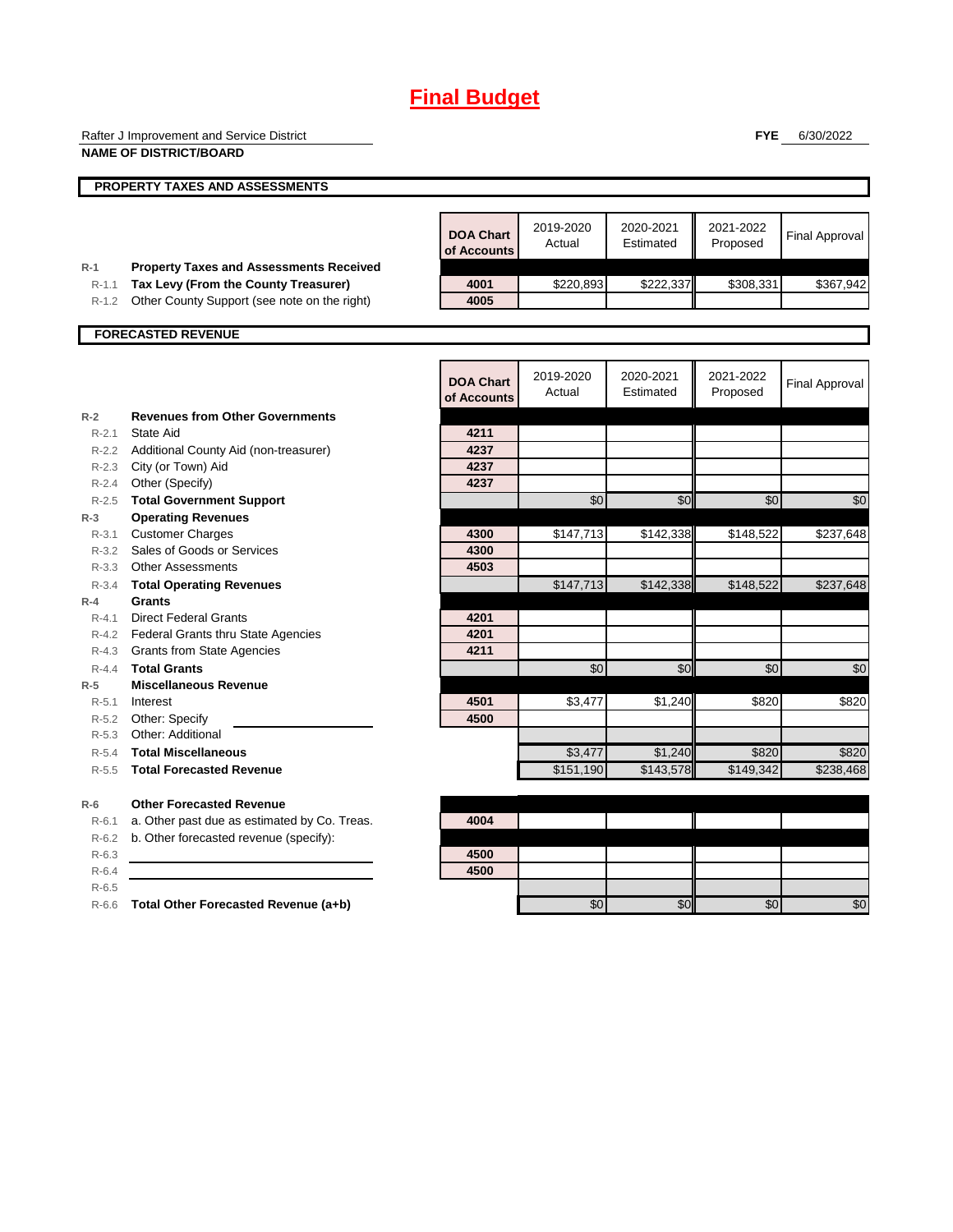|                  | Rafter J Improvement and Service District                                              |                                 |                     |                        | <b>FYE</b>            | 6/30/2022             |
|------------------|----------------------------------------------------------------------------------------|---------------------------------|---------------------|------------------------|-----------------------|-----------------------|
|                  | <b>NAME OF DISTRICT/BOARD</b>                                                          |                                 |                     |                        |                       |                       |
|                  | PROPERTY TAXES AND ASSESSMENTS                                                         |                                 |                     |                        |                       |                       |
|                  |                                                                                        |                                 |                     |                        |                       |                       |
|                  |                                                                                        | <b>DOA Chart</b><br>of Accounts | 2019-2020<br>Actual | 2020-2021<br>Estimated | 2021-2022<br>Proposed | <b>Final Approval</b> |
| $R-1$<br>$R-1.1$ | <b>Property Taxes and Assessments Received</b><br>Tax Levy (From the County Treasurer) | 4001                            | \$220,893           | \$222,337              | \$308,331             | \$367,942             |
| $R-1.2$          | Other County Support (see note on the right)                                           | 4005                            |                     |                        |                       |                       |
|                  |                                                                                        |                                 |                     |                        |                       |                       |
|                  | <b>FORECASTED REVENUE</b>                                                              |                                 |                     |                        |                       |                       |
|                  |                                                                                        |                                 |                     |                        |                       |                       |
|                  |                                                                                        | <b>DOA Chart</b>                | 2019-2020           | 2020-2021              | 2021-2022             | <b>Final Approval</b> |
|                  |                                                                                        | of Accounts                     | Actual              | Estimated              | Proposed              |                       |
| $R-2$            | <b>Revenues from Other Governments</b>                                                 |                                 |                     |                        |                       |                       |
| $R - 2.1$        | State Aid                                                                              | 4211                            |                     |                        |                       |                       |
|                  | R-2.2 Additional County Aid (non-treasurer)                                            | 4237                            |                     |                        |                       |                       |
|                  | R-2.3 City (or Town) Aid                                                               | 4237                            |                     |                        |                       |                       |
| $R - 2.4$        | Other (Specify)                                                                        | 4237                            |                     |                        |                       |                       |
| $R - 2.5$        | <b>Total Government Support</b>                                                        |                                 | \$0                 | \$0                    | \$0                   | \$0                   |
| $R-3$            | <b>Operating Revenues</b>                                                              |                                 |                     |                        |                       |                       |
| $R - 3.1$        | <b>Customer Charges</b>                                                                | 4300                            | \$147,713           | \$142,338              | \$148,522             | \$237,648             |
| $R - 3.2$        | Sales of Goods or Services                                                             | 4300                            |                     |                        |                       |                       |
|                  | R-3.3 Other Assessments                                                                | 4503                            |                     |                        |                       |                       |
| $R - 3.4$        | <b>Total Operating Revenues</b>                                                        |                                 | \$147,713           | \$142,338              | \$148,522             | \$237,648             |
| $R-4$            | <b>Grants</b>                                                                          |                                 |                     |                        |                       |                       |
| $R - 4.1$        | <b>Direct Federal Grants</b>                                                           | 4201                            |                     |                        |                       |                       |
|                  | R-4.2 Federal Grants thru State Agencies                                               | 4201                            |                     |                        |                       |                       |
| $R-4.3$          | <b>Grants from State Agencies</b>                                                      | 4211                            |                     |                        |                       |                       |
| $R - 4.4$        | <b>Total Grants</b>                                                                    |                                 | \$0                 | \$0                    | \$0                   | \$0                   |
| $R-5$            | <b>Miscellaneous Revenue</b>                                                           |                                 |                     |                        |                       |                       |
| $R-5.1$<br>R-5.2 | Interest<br>Other: Specify                                                             | 4501<br>4500                    | \$3,477             | \$1,240                | \$820                 | \$820                 |
| $R-5.3$          | Other: Additional                                                                      |                                 |                     |                        |                       |                       |
| $R-5.4$          | <b>Total Miscellaneous</b>                                                             |                                 | \$3,477             | \$1,240                | \$820                 | \$820                 |
| $R - 5.5$        | <b>Total Forecasted Revenue</b>                                                        |                                 | \$151,190           | \$143,578              | \$149,342             | \$238,468             |
|                  |                                                                                        |                                 |                     |                        |                       |                       |
| $R-6$            | <b>Other Forecasted Revenue</b>                                                        |                                 |                     |                        |                       |                       |
| $R-6.1$          | a. Other past due as estimated by Co. Treas.                                           | 4004                            |                     |                        |                       |                       |
| $R-6.2$          | b. Other forecasted revenue (specify):                                                 |                                 |                     |                        |                       |                       |
| $R-6.3$          |                                                                                        | 4500                            |                     |                        |                       |                       |
| $R-6.4$          |                                                                                        | 4500                            |                     |                        |                       |                       |
| $R-6.5$          |                                                                                        |                                 |                     |                        |                       |                       |
| $R-6.6$          | Total Other Forecasted Revenue (a+b)                                                   |                                 | \$0                 | \$0                    | \$0                   | \$0                   |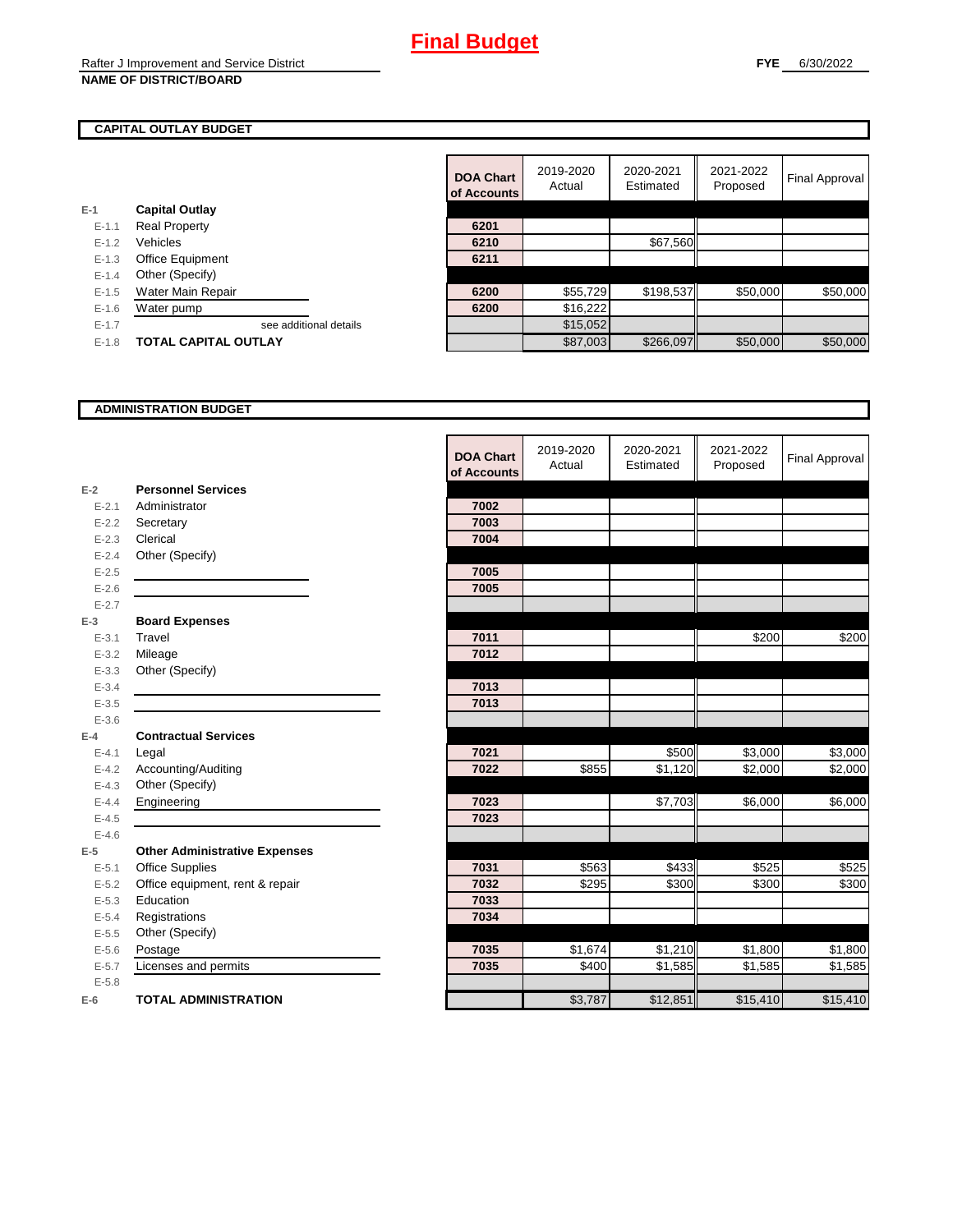#### **CAPITAL OUTLAY BUDGET**

|           |                             | u Acculito |          |
|-----------|-----------------------------|------------|----------|
| $E-1$     | <b>Capital Outlay</b>       |            |          |
| $E - 1.1$ | <b>Real Property</b>        | 6201       |          |
| $E - 1.2$ | Vehicles                    | 6210       |          |
| $E-1.3$   | Office Equipment            | 6211       |          |
| $E - 1.4$ | Other (Specify)             |            |          |
| $E-1.5$   | Water Main Repair           | 6200       | \$55,729 |
| $E-1.6$   | Water pump                  | 6200       | \$16,222 |
| $E - 1.7$ | see additional details      |            | \$15,052 |
| $E-1.8$   | <b>TOTAL CAPITAL OUTLAY</b> |            | \$87,003 |
|           |                             |            |          |

|           |                             | <b>DOA Chart</b><br>of Accounts | 2019-2020<br>Actual | 2020-2021<br>Estimated | 2021-2022<br>Proposed | Final Approval |
|-----------|-----------------------------|---------------------------------|---------------------|------------------------|-----------------------|----------------|
|           | <b>Capital Outlay</b>       |                                 |                     |                        |                       |                |
| $E - 1.1$ | <b>Real Property</b>        | 6201                            |                     |                        |                       |                |
| $E - 1.2$ | Vehicles                    | 6210                            |                     | \$67,560               |                       |                |
| $E - 1.3$ | Office Equipment            | 6211                            |                     |                        |                       |                |
| $E - 1.4$ | Other (Specify)             |                                 |                     |                        |                       |                |
| $E-1.5$   | Water Main Repair           | 6200                            | \$55,729            | \$198,537              | \$50,000              | \$50,000       |
| $E-1.6$   | Water pump                  | 6200                            | \$16,222            |                        |                       |                |
| $E-1.7$   | see additional details      |                                 | \$15,052            |                        |                       |                |
| $E-1.8$   | <b>TOTAL CAPITAL OUTLAY</b> |                                 | \$87,003            | \$266,097              | \$50,000              | \$50,000       |

#### **ADMINISTRATION BUDGET**

|           |                                      | <b>DOA Chart</b><br>of Accounts | 2019-2020<br>Actual | 2020-2021<br>Estimated | 2021-2022<br>Proposed | <b>Final Approval</b> |
|-----------|--------------------------------------|---------------------------------|---------------------|------------------------|-----------------------|-----------------------|
| $E-2$     | <b>Personnel Services</b>            |                                 |                     |                        |                       |                       |
| $E - 2.1$ | Administrator                        | 7002                            |                     |                        |                       |                       |
| $E - 2.2$ | Secretary                            | 7003                            |                     |                        |                       |                       |
| $E - 2.3$ | Clerical                             | 7004                            |                     |                        |                       |                       |
| $E - 2.4$ | Other (Specify)                      |                                 |                     |                        |                       |                       |
| $E-2.5$   |                                      | 7005                            |                     |                        |                       |                       |
| $E - 2.6$ |                                      | 7005                            |                     |                        |                       |                       |
| $E - 2.7$ |                                      |                                 |                     |                        |                       |                       |
| $E-3$     | <b>Board Expenses</b>                |                                 |                     |                        |                       |                       |
| $E - 3.1$ | Travel                               | 7011                            |                     |                        | \$200                 | \$200                 |
| $E - 3.2$ | Mileage                              | 7012                            |                     |                        |                       |                       |
| $E - 3.3$ | Other (Specify)                      |                                 |                     |                        |                       |                       |
| $E - 3.4$ |                                      | 7013                            |                     |                        |                       |                       |
| $E - 3.5$ |                                      | 7013                            |                     |                        |                       |                       |
| $E - 3.6$ |                                      |                                 |                     |                        |                       |                       |
| $E-4$     | <b>Contractual Services</b>          |                                 |                     |                        |                       |                       |
| $E - 4.1$ | Legal                                | 7021                            |                     | \$500                  | \$3,000               | \$3,000               |
| $E - 4.2$ | Accounting/Auditing                  | 7022                            | \$855               | \$1,120                | \$2,000               | \$2,000               |
| $E-4.3$   | Other (Specify)                      |                                 |                     |                        |                       |                       |
| $E-4.4$   | Engineering                          | 7023                            |                     | \$7,703                | \$6,000               | \$6,000               |
| $E-4.5$   |                                      | 7023                            |                     |                        |                       |                       |
| $E-4.6$   |                                      |                                 |                     |                        |                       |                       |
| $E-5$     | <b>Other Administrative Expenses</b> |                                 |                     |                        |                       |                       |
| $E - 5.1$ | <b>Office Supplies</b>               | 7031                            | \$563               | \$433                  | \$525                 | \$525                 |
| $E-5.2$   | Office equipment, rent & repair      | 7032                            | \$295               | \$300                  | \$300                 | \$300                 |
| $E-5.3$   | Education                            | 7033                            |                     |                        |                       |                       |
| $E - 5.4$ | Registrations                        | 7034                            |                     |                        |                       |                       |
| $E-5.5$   | Other (Specify)                      |                                 |                     |                        |                       |                       |
| $E-5.6$   | Postage                              | 7035                            | \$1,674             | \$1,210                | \$1,800               | \$1,800               |
| $E - 5.7$ | Licenses and permits                 | 7035                            | \$400               | \$1,585                | \$1,585               | \$1,585               |
| $E - 5.8$ |                                      |                                 |                     |                        |                       |                       |
| $E-6$     | <b>TOTAL ADMINISTRATION</b>          |                                 | \$3,787             | \$12,851               | \$15,410              | \$15,410              |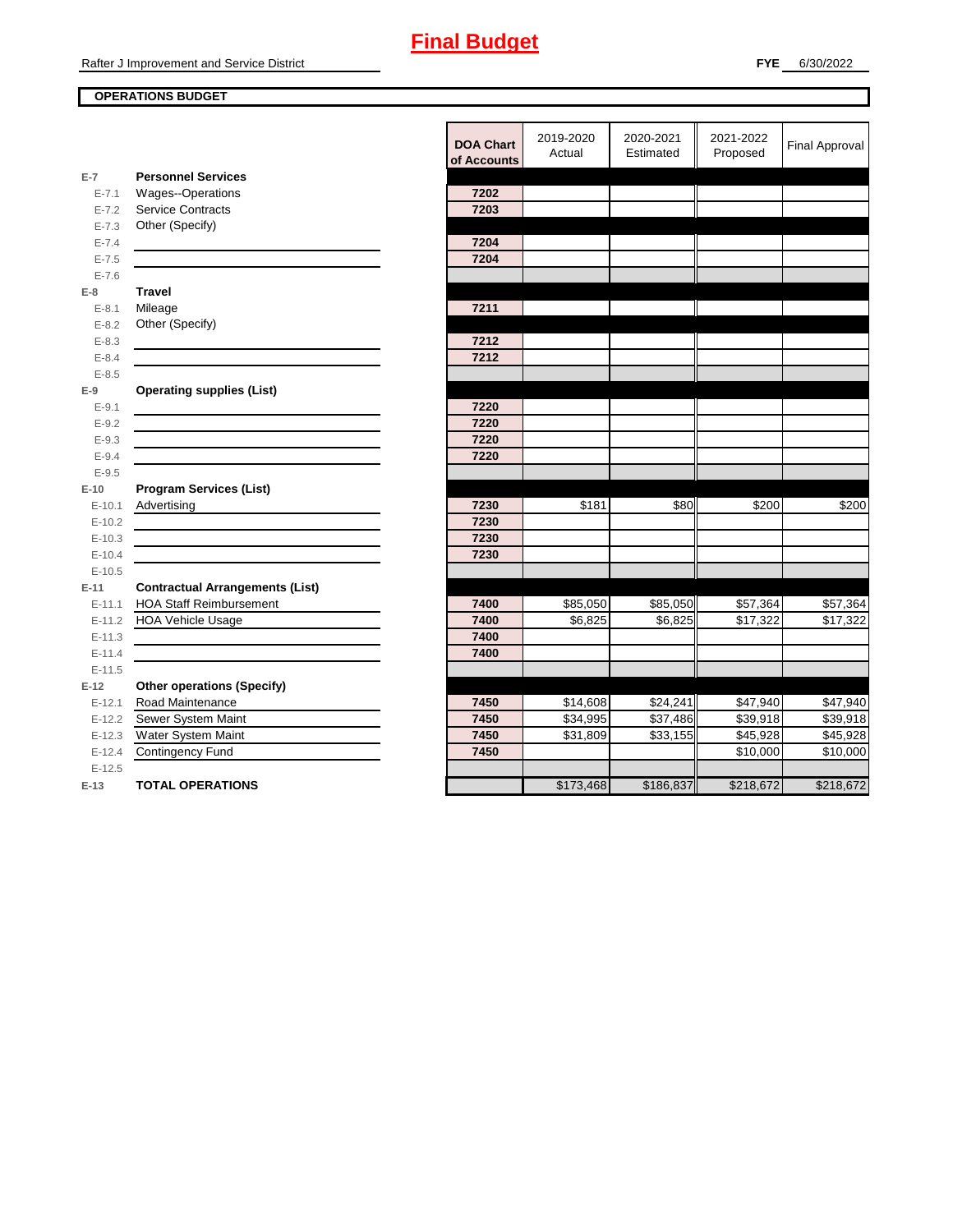### **OPERATIONS BUDGET**

|            |                                                                                                                       | <b>DOA Chart</b><br>of Accounts | 2019-2020<br>Actual | 2020-2021<br>Estimated | 2021-2022<br>Proposed | <b>Final Approval</b> |
|------------|-----------------------------------------------------------------------------------------------------------------------|---------------------------------|---------------------|------------------------|-----------------------|-----------------------|
| $E-7$      | <b>Personnel Services</b>                                                                                             |                                 |                     |                        |                       |                       |
| $E - 7.1$  | Wages--Operations                                                                                                     | 7202                            |                     |                        |                       |                       |
| $E - 7.2$  | <b>Service Contracts</b>                                                                                              | 7203                            |                     |                        |                       |                       |
| $E - 7.3$  | Other (Specify)                                                                                                       |                                 |                     |                        |                       |                       |
| $E - 7.4$  |                                                                                                                       | 7204                            |                     |                        |                       |                       |
| $E - 7.5$  |                                                                                                                       | 7204                            |                     |                        |                       |                       |
| $E - 7.6$  |                                                                                                                       |                                 |                     |                        |                       |                       |
| $E-8$      | <b>Travel</b>                                                                                                         |                                 |                     |                        |                       |                       |
| $E-8.1$    | Mileage                                                                                                               | 7211                            |                     |                        |                       |                       |
| $E - 8.2$  | Other (Specify)                                                                                                       |                                 |                     |                        |                       |                       |
| $E - 8.3$  |                                                                                                                       | 7212                            |                     |                        |                       |                       |
| $E - 8.4$  |                                                                                                                       | 7212                            |                     |                        |                       |                       |
| $E - 8.5$  |                                                                                                                       |                                 |                     |                        |                       |                       |
| $E-9$      | <b>Operating supplies (List)</b>                                                                                      |                                 |                     |                        |                       |                       |
| $E-9.1$    |                                                                                                                       | 7220                            |                     |                        |                       |                       |
| $E - 9.2$  |                                                                                                                       | 7220                            |                     |                        |                       |                       |
| $E - 9.3$  |                                                                                                                       | 7220                            |                     |                        |                       |                       |
| $E - 9.4$  |                                                                                                                       | 7220                            |                     |                        |                       |                       |
| $E - 9.5$  |                                                                                                                       |                                 |                     |                        |                       |                       |
| $E-10$     | <b>Program Services (List)</b>                                                                                        |                                 |                     |                        |                       |                       |
| $E-10.1$   | Advertising                                                                                                           | 7230                            | \$181               | \$80                   | \$200                 | \$200                 |
| $E-10.2$   | <u> 1989 - Johann Barn, mars ann an t-Amhain an t-Amhain an t-Amhain an t-Amhain an t-Amhain an t-Amhain an t-Amh</u> | 7230                            |                     |                        |                       |                       |
| $E-10.3$   |                                                                                                                       | 7230                            |                     |                        |                       |                       |
| $E - 10.4$ |                                                                                                                       | 7230                            |                     |                        |                       |                       |
| $E-10.5$   |                                                                                                                       |                                 |                     |                        |                       |                       |
| $E-11$     | <b>Contractual Arrangements (List)</b>                                                                                |                                 |                     |                        |                       |                       |
| $E - 11.1$ | <b>HOA Staff Reimbursement</b>                                                                                        | 7400                            | \$85,050            | \$85,050               | \$57,364              | \$57,364              |
| $E-11.2$   | <b>HOA Vehicle Usage</b>                                                                                              | 7400                            | \$6,825             | \$6,825                | \$17,322              | \$17,322              |
| $E-11.3$   |                                                                                                                       | 7400                            |                     |                        |                       |                       |
| $E - 11.4$ |                                                                                                                       | 7400                            |                     |                        |                       |                       |
| $E-11.5$   |                                                                                                                       |                                 |                     |                        |                       |                       |
| $E-12$     | <b>Other operations (Specify)</b>                                                                                     |                                 |                     |                        |                       |                       |
| $E-12.1$   | Road Maintenance                                                                                                      | 7450                            | \$14,608            | \$24,241               | \$47,940              | \$47,940              |
| $E-12.2$   | Sewer System Maint                                                                                                    | 7450                            | \$34,995            | \$37,486               | \$39,918              | \$39,918              |
| $E-12.3$   | Water System Maint                                                                                                    | 7450                            | \$31,809            | \$33,155               | \$45,928              | \$45,928              |
| $E-12.4$   | <b>Contingency Fund</b>                                                                                               | 7450                            |                     |                        | \$10,000              | \$10,000              |
| $E-12.5$   |                                                                                                                       |                                 |                     |                        |                       |                       |
| $E-13$     | <b>TOTAL OPERATIONS</b>                                                                                               |                                 | \$173,468           | \$186,837              | \$218,672             | \$218,672             |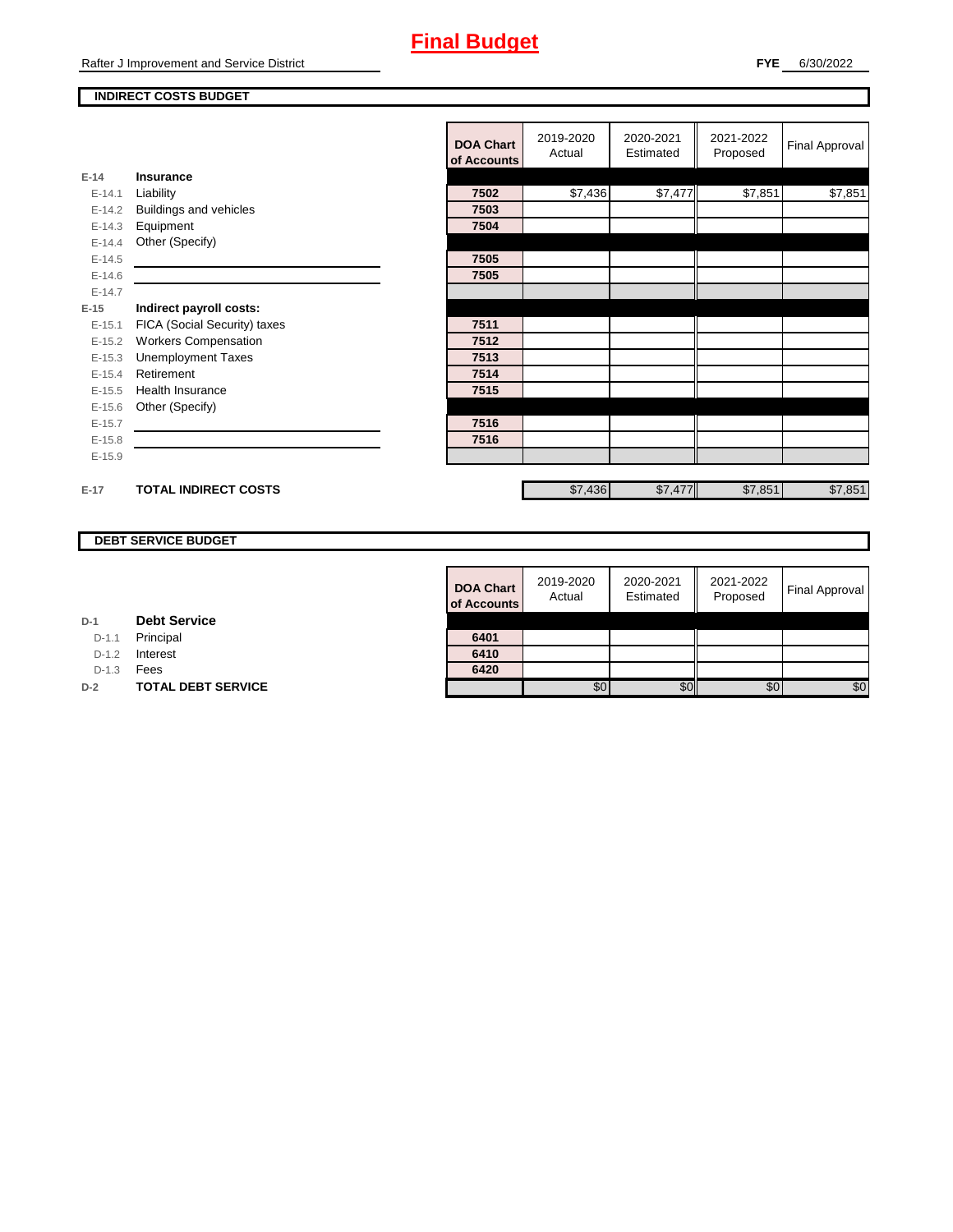#### **INDIRECT COSTS BUDGET**

|          |                              | <b>DOA Chart</b><br>of Accounts | 2019-2020<br>Actual | 2020-2021<br>Estimated | 2021-2022<br>Proposed | <b>Final Approval</b> |
|----------|------------------------------|---------------------------------|---------------------|------------------------|-----------------------|-----------------------|
| $E-14$   | <b>Insurance</b>             |                                 |                     |                        |                       |                       |
| $E-14.1$ | Liability                    | 7502                            | \$7,436             | \$7,477                | \$7,851               | \$7,851               |
| $E-14.2$ | Buildings and vehicles       | 7503                            |                     |                        |                       |                       |
| $E-14.3$ | Equipment                    | 7504                            |                     |                        |                       |                       |
| $E-14.4$ | Other (Specify)              |                                 |                     |                        |                       |                       |
| $E-14.5$ |                              | 7505                            |                     |                        |                       |                       |
| $E-14.6$ |                              | 7505                            |                     |                        |                       |                       |
| $E-14.7$ |                              |                                 |                     |                        |                       |                       |
| $E-15$   | Indirect payroll costs:      |                                 |                     |                        |                       |                       |
| $E-15.1$ | FICA (Social Security) taxes | 7511                            |                     |                        |                       |                       |
| $E-15.2$ | <b>Workers Compensation</b>  | 7512                            |                     |                        |                       |                       |
| $E-15.3$ | <b>Unemployment Taxes</b>    | 7513                            |                     |                        |                       |                       |
| $E-15.4$ | Retirement                   | 7514                            |                     |                        |                       |                       |
| $E-15.5$ | <b>Health Insurance</b>      | 7515                            |                     |                        |                       |                       |
| $E-15.6$ | Other (Specify)              |                                 |                     |                        |                       |                       |
| $E-15.7$ |                              | 7516                            |                     |                        |                       |                       |
| $E-15.8$ |                              | 7516                            |                     |                        |                       |                       |
| $E-15.9$ |                              |                                 |                     |                        |                       |                       |
|          |                              |                                 |                     |                        |                       |                       |
| $E-17$   | <b>TOTAL INDIRECT COSTS</b>  |                                 | \$7,436             | \$7,477                | \$7,851               | \$7,851               |

### **DEBT SERVICE BUDGET**

| <b>DOA Chart</b><br>of Accounts | 2019-2020<br>Actual | 2020-2021<br>Estimated | 2021-2022<br>Proposed | <b>Final Approval</b> |
|---------------------------------|---------------------|------------------------|-----------------------|-----------------------|
|                                 |                     |                        |                       |                       |
| 6401<br>6410                    |                     |                        |                       |                       |
| 6420                            |                     |                        |                       |                       |
|                                 | SC                  |                        | \$0                   | \$0                   |

D-1.1 Principal

D-1.2 **Interest** 

D-1.3 **Fees** 

**D-2 TOTAL DEBT SERVICE**